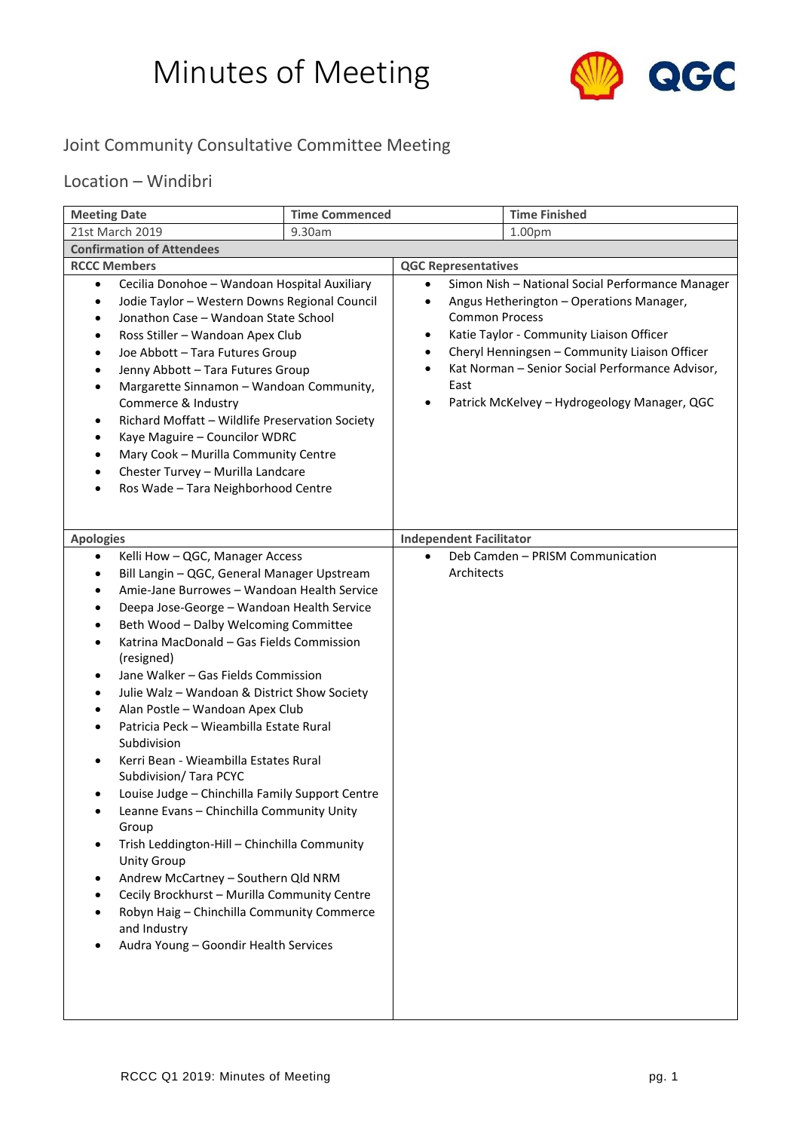## Minutes of Meeting



## Joint Community Consultative Committee Meeting

## Location – Windibri

| <b>Meeting Date</b>                                                                                                                                                                                                                                                                                                                                                                                                                                                                                                                                                                                                                                                                                                                                                                                                                                                                                                                                                                       | <b>Time Commenced</b> |                                                                                     | <b>Time Finished</b>                                                                                                                                                                                                                                                                         |
|-------------------------------------------------------------------------------------------------------------------------------------------------------------------------------------------------------------------------------------------------------------------------------------------------------------------------------------------------------------------------------------------------------------------------------------------------------------------------------------------------------------------------------------------------------------------------------------------------------------------------------------------------------------------------------------------------------------------------------------------------------------------------------------------------------------------------------------------------------------------------------------------------------------------------------------------------------------------------------------------|-----------------------|-------------------------------------------------------------------------------------|----------------------------------------------------------------------------------------------------------------------------------------------------------------------------------------------------------------------------------------------------------------------------------------------|
| 21st March 2019                                                                                                                                                                                                                                                                                                                                                                                                                                                                                                                                                                                                                                                                                                                                                                                                                                                                                                                                                                           | 9.30am                |                                                                                     | 1.00pm                                                                                                                                                                                                                                                                                       |
| <b>Confirmation of Attendees</b>                                                                                                                                                                                                                                                                                                                                                                                                                                                                                                                                                                                                                                                                                                                                                                                                                                                                                                                                                          |                       |                                                                                     |                                                                                                                                                                                                                                                                                              |
| <b>RCCC Members</b>                                                                                                                                                                                                                                                                                                                                                                                                                                                                                                                                                                                                                                                                                                                                                                                                                                                                                                                                                                       |                       | <b>QGC Representatives</b>                                                          |                                                                                                                                                                                                                                                                                              |
| Cecilia Donohoe - Wandoan Hospital Auxiliary<br>$\bullet$<br>Jodie Taylor - Western Downs Regional Council<br>Jonathon Case - Wandoan State School<br>$\bullet$<br>Ross Stiller - Wandoan Apex Club<br>Joe Abbott - Tara Futures Group<br>$\bullet$<br>Jenny Abbott - Tara Futures Group<br>Margarette Sinnamon - Wandoan Community,<br>$\bullet$<br>Commerce & Industry<br>Richard Moffatt - Wildlife Preservation Society<br>Kaye Maguire - Councilor WDRC<br>Mary Cook - Murilla Community Centre<br>Chester Turvey - Murilla Landcare<br>Ros Wade - Tara Neighborhood Centre                                                                                                                                                                                                                                                                                                                                                                                                          |                       | $\bullet$<br>٠<br><b>Common Process</b><br>٠<br>٠<br>$\bullet$<br>East<br>$\bullet$ | Simon Nish - National Social Performance Manager<br>Angus Hetherington - Operations Manager,<br>Katie Taylor - Community Liaison Officer<br>Cheryl Henningsen - Community Liaison Officer<br>Kat Norman - Senior Social Performance Advisor,<br>Patrick McKelvey - Hydrogeology Manager, QGC |
| <b>Apologies</b>                                                                                                                                                                                                                                                                                                                                                                                                                                                                                                                                                                                                                                                                                                                                                                                                                                                                                                                                                                          |                       | <b>Independent Facilitator</b>                                                      |                                                                                                                                                                                                                                                                                              |
| Kelli How - QGC, Manager Access<br>$\bullet$<br>Bill Langin - QGC, General Manager Upstream<br>$\bullet$<br>Amie-Jane Burrowes - Wandoan Health Service<br>Deepa Jose-George - Wandoan Health Service<br>$\bullet$<br>Beth Wood - Dalby Welcoming Committee<br>Katrina MacDonald - Gas Fields Commission<br>(resigned)<br>Jane Walker - Gas Fields Commission<br>$\bullet$<br>Julie Walz - Wandoan & District Show Society<br>$\bullet$<br>Alan Postle - Wandoan Apex Club<br>Patricia Peck - Wieambilla Estate Rural<br>Subdivision<br>Kerri Bean - Wieambilla Estates Rural<br>Subdivision/ Tara PCYC<br>Louise Judge - Chinchilla Family Support Centre<br>٠<br>Leanne Evans - Chinchilla Community Unity<br>Group<br>Trish Leddington-Hill - Chinchilla Community<br><b>Unity Group</b><br>Andrew McCartney - Southern Qld NRM<br>Cecily Brockhurst - Murilla Community Centre<br>Robyn Haig - Chinchilla Community Commerce<br>and Industry<br>Audra Young - Goondir Health Services |                       | $\bullet$<br>Architects                                                             | Deb Camden - PRISM Communication                                                                                                                                                                                                                                                             |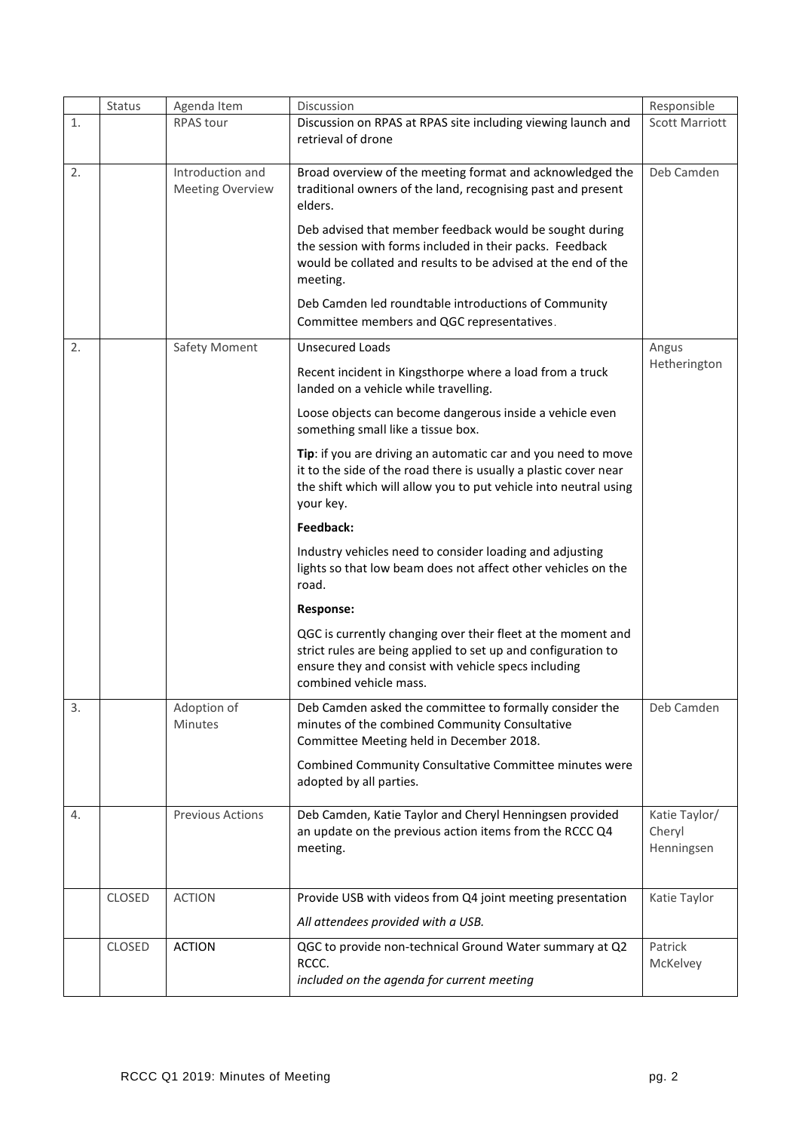|    | Status        | Agenda Item                                 | Discussion                                                                                                                                                                                                         | Responsible                           |
|----|---------------|---------------------------------------------|--------------------------------------------------------------------------------------------------------------------------------------------------------------------------------------------------------------------|---------------------------------------|
| 1. |               | <b>RPAS tour</b>                            | Discussion on RPAS at RPAS site including viewing launch and<br>retrieval of drone                                                                                                                                 | <b>Scott Marriott</b>                 |
| 2. |               | Introduction and<br><b>Meeting Overview</b> | Broad overview of the meeting format and acknowledged the<br>traditional owners of the land, recognising past and present<br>elders.                                                                               | Deb Camden                            |
|    |               |                                             | Deb advised that member feedback would be sought during<br>the session with forms included in their packs. Feedback<br>would be collated and results to be advised at the end of the<br>meeting.                   |                                       |
|    |               |                                             | Deb Camden led roundtable introductions of Community<br>Committee members and QGC representatives.                                                                                                                 |                                       |
| 2. |               | Safety Moment                               | <b>Unsecured Loads</b>                                                                                                                                                                                             | Angus                                 |
|    |               |                                             | Recent incident in Kingsthorpe where a load from a truck<br>landed on a vehicle while travelling.                                                                                                                  | Hetherington                          |
|    |               |                                             | Loose objects can become dangerous inside a vehicle even<br>something small like a tissue box.                                                                                                                     |                                       |
|    |               |                                             | Tip: if you are driving an automatic car and you need to move<br>it to the side of the road there is usually a plastic cover near<br>the shift which will allow you to put vehicle into neutral using<br>your key. |                                       |
|    |               |                                             | Feedback:                                                                                                                                                                                                          |                                       |
|    |               |                                             | Industry vehicles need to consider loading and adjusting<br>lights so that low beam does not affect other vehicles on the<br>road.                                                                                 |                                       |
|    |               |                                             | <b>Response:</b>                                                                                                                                                                                                   |                                       |
|    |               |                                             | QGC is currently changing over their fleet at the moment and<br>strict rules are being applied to set up and configuration to<br>ensure they and consist with vehicle specs including<br>combined vehicle mass.    |                                       |
| 3. |               | Adoption of<br>Minutes                      | Deb Camden asked the committee to formally consider the<br>minutes of the combined Community Consultative<br>Committee Meeting held in December 2018.                                                              | Deb Camden                            |
|    |               |                                             | Combined Community Consultative Committee minutes were<br>adopted by all parties.                                                                                                                                  |                                       |
| 4. |               | <b>Previous Actions</b>                     | Deb Camden, Katie Taylor and Cheryl Henningsen provided<br>an update on the previous action items from the RCCC Q4<br>meeting.                                                                                     | Katie Taylor/<br>Cheryl<br>Henningsen |
|    | <b>CLOSED</b> | <b>ACTION</b>                               | Provide USB with videos from Q4 joint meeting presentation<br>All attendees provided with a USB.                                                                                                                   | Katie Taylor                          |
|    | CLOSED        | <b>ACTION</b>                               | QGC to provide non-technical Ground Water summary at Q2<br>RCCC.<br>included on the agenda for current meeting                                                                                                     | Patrick<br>McKelvey                   |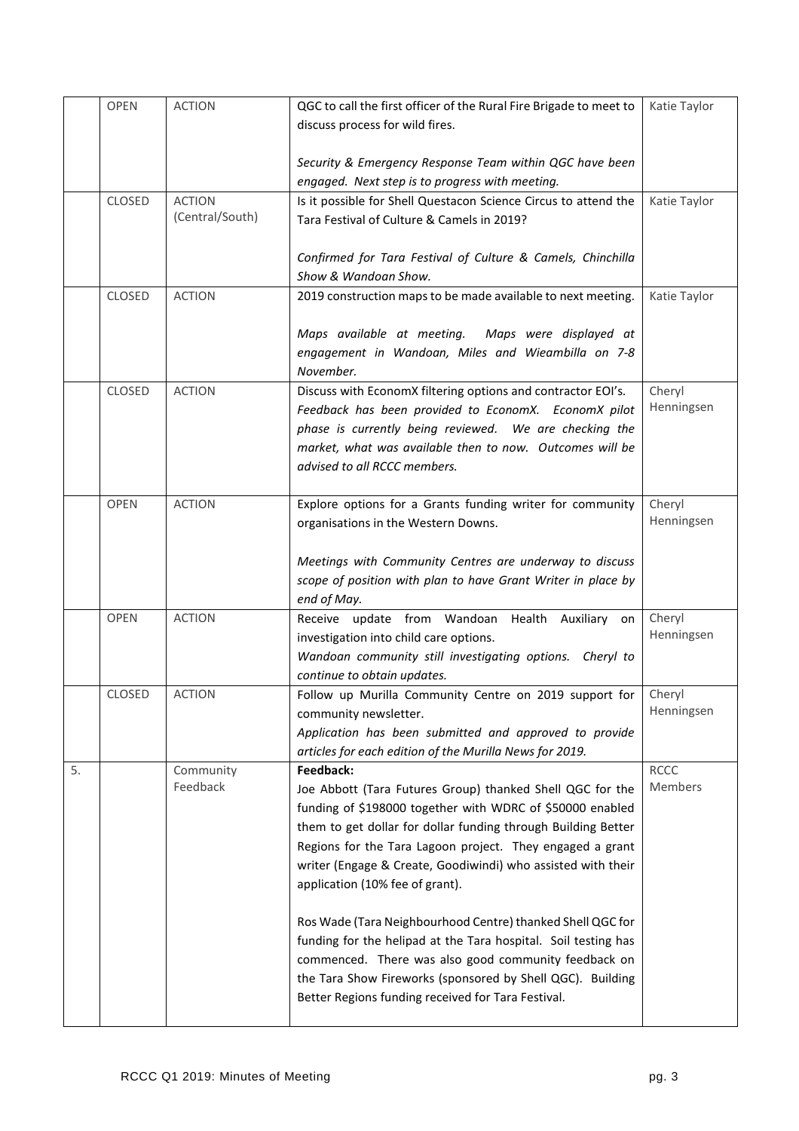|    | <b>OPEN</b>   | <b>ACTION</b>   | QGC to call the first officer of the Rural Fire Brigade to meet to                                                     | Katie Taylor         |
|----|---------------|-----------------|------------------------------------------------------------------------------------------------------------------------|----------------------|
|    |               |                 | discuss process for wild fires.                                                                                        |                      |
|    |               |                 |                                                                                                                        |                      |
|    |               |                 | Security & Emergency Response Team within QGC have been<br>engaged. Next step is to progress with meeting.             |                      |
|    | CLOSED        | <b>ACTION</b>   | Is it possible for Shell Questacon Science Circus to attend the                                                        | Katie Taylor         |
|    |               | (Central/South) | Tara Festival of Culture & Camels in 2019?                                                                             |                      |
|    |               |                 |                                                                                                                        |                      |
|    |               |                 | Confirmed for Tara Festival of Culture & Camels, Chinchilla                                                            |                      |
|    |               |                 | Show & Wandoan Show.                                                                                                   |                      |
|    | <b>CLOSED</b> | <b>ACTION</b>   | 2019 construction maps to be made available to next meeting.                                                           | Katie Taylor         |
|    |               |                 |                                                                                                                        |                      |
|    |               |                 | Maps available at meeting. Maps were displayed at<br>engagement in Wandoan, Miles and Wieambilla on 7-8                |                      |
|    |               |                 | November.                                                                                                              |                      |
|    | <b>CLOSED</b> | <b>ACTION</b>   | Discuss with EconomX filtering options and contractor EOI's.                                                           | Cheryl               |
|    |               |                 | Feedback has been provided to EconomX. EconomX pilot                                                                   | Henningsen           |
|    |               |                 | phase is currently being reviewed. We are checking the                                                                 |                      |
|    |               |                 | market, what was available then to now. Outcomes will be                                                               |                      |
|    |               |                 | advised to all RCCC members.                                                                                           |                      |
|    |               |                 |                                                                                                                        |                      |
|    | <b>OPEN</b>   | <b>ACTION</b>   | Explore options for a Grants funding writer for community                                                              | Cheryl<br>Henningsen |
|    |               |                 | organisations in the Western Downs.                                                                                    |                      |
|    |               |                 | Meetings with Community Centres are underway to discuss                                                                |                      |
|    |               |                 | scope of position with plan to have Grant Writer in place by                                                           |                      |
|    |               |                 | end of May.                                                                                                            |                      |
|    | <b>OPEN</b>   | <b>ACTION</b>   | Receive update from Wandoan<br>Health Auxiliary on                                                                     | Cheryl               |
|    |               |                 | investigation into child care options.                                                                                 | Henningsen           |
|    |               |                 | Wandoan community still investigating options. Cheryl to                                                               |                      |
|    |               |                 | continue to obtain updates.                                                                                            |                      |
|    | CLOSED        | <b>ACTION</b>   | Follow up Murilla Community Centre on 2019 support for                                                                 | Cheryl<br>Henningsen |
|    |               |                 | community newsletter.<br>Application has been submitted and approved to provide                                        |                      |
|    |               |                 | articles for each edition of the Murilla News for 2019.                                                                |                      |
| 5. |               | Community       | Feedback:                                                                                                              | <b>RCCC</b>          |
|    |               | Feedback        | Joe Abbott (Tara Futures Group) thanked Shell QGC for the                                                              | Members              |
|    |               |                 | funding of \$198000 together with WDRC of \$50000 enabled                                                              |                      |
|    |               |                 | them to get dollar for dollar funding through Building Better                                                          |                      |
|    |               |                 | Regions for the Tara Lagoon project. They engaged a grant                                                              |                      |
|    |               |                 | writer (Engage & Create, Goodiwindi) who assisted with their                                                           |                      |
|    |               |                 | application (10% fee of grant).                                                                                        |                      |
|    |               |                 |                                                                                                                        |                      |
|    |               |                 | Ros Wade (Tara Neighbourhood Centre) thanked Shell QGC for                                                             |                      |
|    |               |                 | funding for the helipad at the Tara hospital. Soil testing has<br>commenced. There was also good community feedback on |                      |
|    |               |                 | the Tara Show Fireworks (sponsored by Shell QGC). Building                                                             |                      |
|    |               |                 | Better Regions funding received for Tara Festival.                                                                     |                      |
|    |               |                 |                                                                                                                        |                      |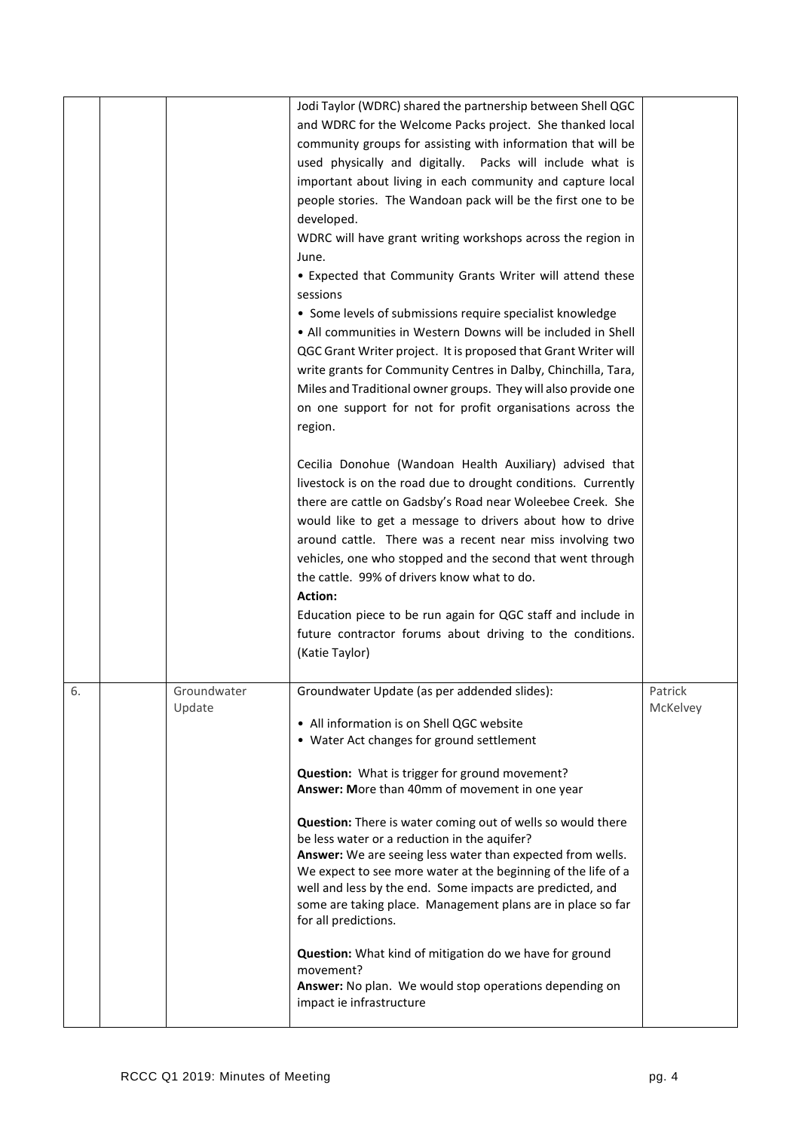|    |                       | Jodi Taylor (WDRC) shared the partnership between Shell QGC<br>and WDRC for the Welcome Packs project. She thanked local<br>community groups for assisting with information that will be<br>used physically and digitally. Packs will include what is<br>important about living in each community and capture local<br>people stories. The Wandoan pack will be the first one to be<br>developed.<br>WDRC will have grant writing workshops across the region in<br>June.<br>• Expected that Community Grants Writer will attend these<br>sessions<br>• Some levels of submissions require specialist knowledge<br>• All communities in Western Downs will be included in Shell<br>QGC Grant Writer project. It is proposed that Grant Writer will<br>write grants for Community Centres in Dalby, Chinchilla, Tara,<br>Miles and Traditional owner groups. They will also provide one<br>on one support for not for profit organisations across the<br>region.<br>Cecilia Donohue (Wandoan Health Auxiliary) advised that |                     |
|----|-----------------------|----------------------------------------------------------------------------------------------------------------------------------------------------------------------------------------------------------------------------------------------------------------------------------------------------------------------------------------------------------------------------------------------------------------------------------------------------------------------------------------------------------------------------------------------------------------------------------------------------------------------------------------------------------------------------------------------------------------------------------------------------------------------------------------------------------------------------------------------------------------------------------------------------------------------------------------------------------------------------------------------------------------------------|---------------------|
|    |                       | livestock is on the road due to drought conditions. Currently<br>there are cattle on Gadsby's Road near Woleebee Creek. She<br>would like to get a message to drivers about how to drive<br>around cattle. There was a recent near miss involving two<br>vehicles, one who stopped and the second that went through<br>the cattle. 99% of drivers know what to do.<br>Action:                                                                                                                                                                                                                                                                                                                                                                                                                                                                                                                                                                                                                                              |                     |
|    |                       | Education piece to be run again for QGC staff and include in<br>future contractor forums about driving to the conditions.<br>(Katie Taylor)                                                                                                                                                                                                                                                                                                                                                                                                                                                                                                                                                                                                                                                                                                                                                                                                                                                                                |                     |
| 6. | Groundwater<br>Update | Groundwater Update (as per addended slides):<br>• All information is on Shell QGC website<br>• Water Act changes for ground settlement<br>Question: What is trigger for ground movement?<br>Answer: More than 40mm of movement in one year<br>Question: There is water coming out of wells so would there<br>be less water or a reduction in the aquifer?<br>Answer: We are seeing less water than expected from wells.<br>We expect to see more water at the beginning of the life of a<br>well and less by the end. Some impacts are predicted, and<br>some are taking place. Management plans are in place so far<br>for all predictions.<br>Question: What kind of mitigation do we have for ground<br>movement?<br>Answer: No plan. We would stop operations depending on<br>impact ie infrastructure                                                                                                                                                                                                                 | Patrick<br>McKelvey |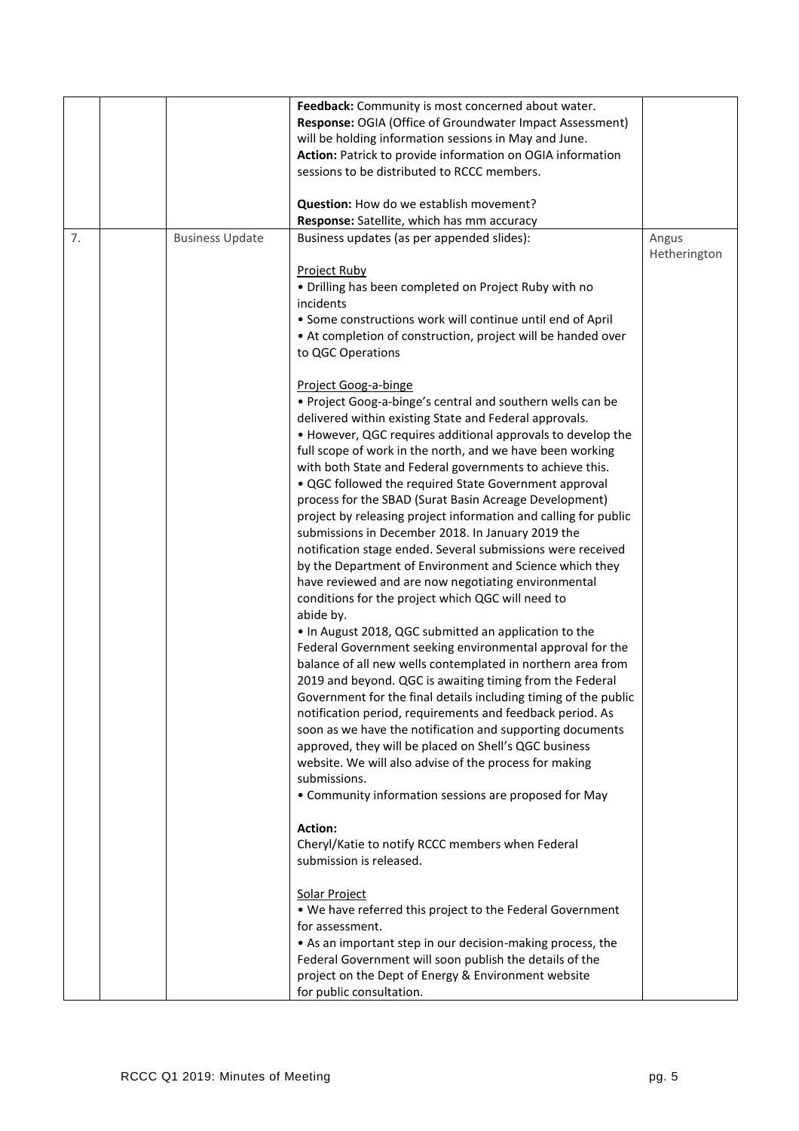|    |                        | Feedback: Community is most concerned about water.              |              |
|----|------------------------|-----------------------------------------------------------------|--------------|
|    |                        | Response: OGIA (Office of Groundwater Impact Assessment)        |              |
|    |                        | will be holding information sessions in May and June.           |              |
|    |                        | Action: Patrick to provide information on OGIA information      |              |
|    |                        | sessions to be distributed to RCCC members.                     |              |
|    |                        | Question: How do we establish movement?                         |              |
|    |                        | Response: Satellite, which has mm accuracy                      |              |
| 7. | <b>Business Update</b> | Business updates (as per appended slides):                      | Angus        |
|    |                        |                                                                 | Hetherington |
|    |                        | <b>Project Ruby</b>                                             |              |
|    |                        | • Drilling has been completed on Project Ruby with no           |              |
|    |                        | incidents                                                       |              |
|    |                        | • Some constructions work will continue until end of April      |              |
|    |                        | • At completion of construction, project will be handed over    |              |
|    |                        | to QGC Operations                                               |              |
|    |                        | Project Goog-a-binge                                            |              |
|    |                        | . Project Goog-a-binge's central and southern wells can be      |              |
|    |                        | delivered within existing State and Federal approvals.          |              |
|    |                        | • However, QGC requires additional approvals to develop the     |              |
|    |                        | full scope of work in the north, and we have been working       |              |
|    |                        | with both State and Federal governments to achieve this.        |              |
|    |                        | . QGC followed the required State Government approval           |              |
|    |                        | process for the SBAD (Surat Basin Acreage Development)          |              |
|    |                        | project by releasing project information and calling for public |              |
|    |                        | submissions in December 2018. In January 2019 the               |              |
|    |                        | notification stage ended. Several submissions were received     |              |
|    |                        | by the Department of Environment and Science which they         |              |
|    |                        | have reviewed and are now negotiating environmental             |              |
|    |                        | conditions for the project which QGC will need to<br>abide by.  |              |
|    |                        | . In August 2018, QGC submitted an application to the           |              |
|    |                        | Federal Government seeking environmental approval for the       |              |
|    |                        | balance of all new wells contemplated in northern area from     |              |
|    |                        | 2019 and beyond. QGC is awaiting timing from the Federal        |              |
|    |                        | Government for the final details including timing of the public |              |
|    |                        | notification period, requirements and feedback period. As       |              |
|    |                        | soon as we have the notification and supporting documents       |              |
|    |                        | approved, they will be placed on Shell's QGC business           |              |
|    |                        | website. We will also advise of the process for making          |              |
|    |                        | submissions.                                                    |              |
|    |                        | • Community information sessions are proposed for May           |              |
|    |                        | Action:                                                         |              |
|    |                        | Cheryl/Katie to notify RCCC members when Federal                |              |
|    |                        | submission is released.                                         |              |
|    |                        | Solar Project                                                   |              |
|    |                        | . We have referred this project to the Federal Government       |              |
|    |                        | for assessment.                                                 |              |
|    |                        | • As an important step in our decision-making process, the      |              |
|    |                        | Federal Government will soon publish the details of the         |              |
|    |                        | project on the Dept of Energy & Environment website             |              |
|    |                        | for public consultation.                                        |              |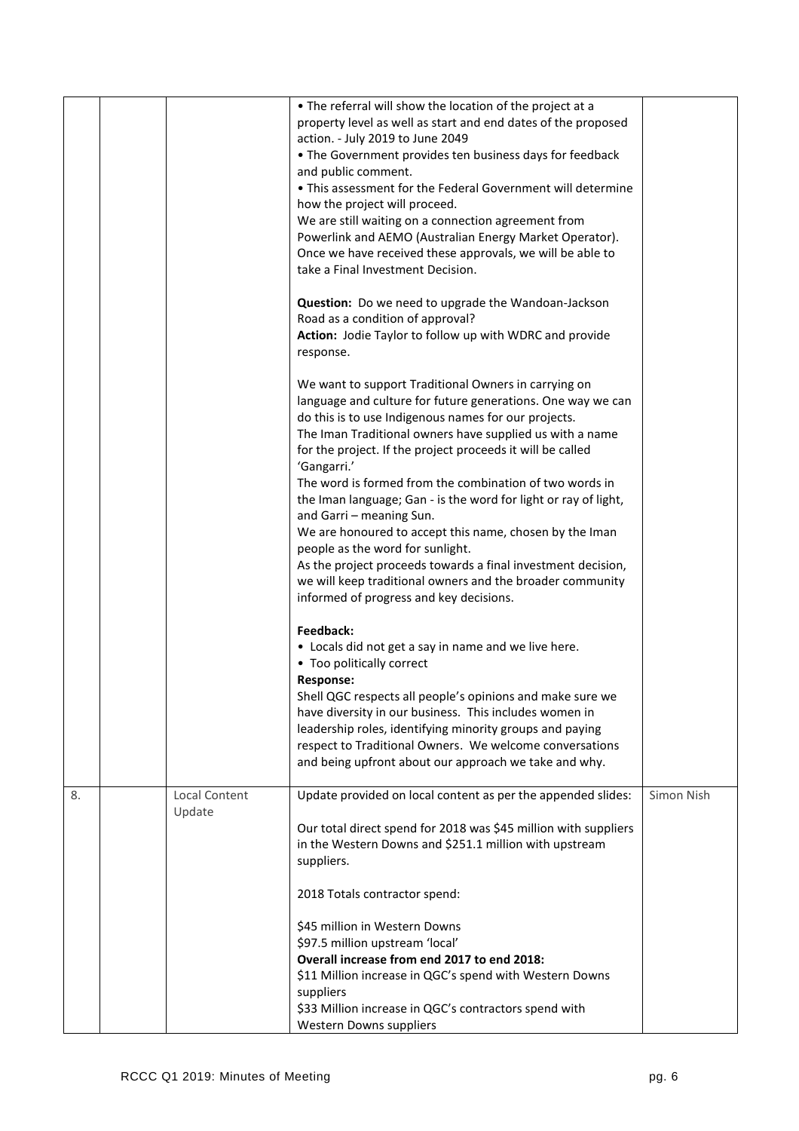|    |                         | • The referral will show the location of the project at a<br>property level as well as start and end dates of the proposed<br>action. - July 2019 to June 2049<br>• The Government provides ten business days for feedback<br>and public comment.<br>• This assessment for the Federal Government will determine<br>how the project will proceed.<br>We are still waiting on a connection agreement from<br>Powerlink and AEMO (Australian Energy Market Operator).<br>Once we have received these approvals, we will be able to<br>take a Final Investment Decision.                                                                                                                                                                                                                                                                                                       |            |
|----|-------------------------|-----------------------------------------------------------------------------------------------------------------------------------------------------------------------------------------------------------------------------------------------------------------------------------------------------------------------------------------------------------------------------------------------------------------------------------------------------------------------------------------------------------------------------------------------------------------------------------------------------------------------------------------------------------------------------------------------------------------------------------------------------------------------------------------------------------------------------------------------------------------------------|------------|
|    |                         | Question: Do we need to upgrade the Wandoan-Jackson<br>Road as a condition of approval?<br>Action: Jodie Taylor to follow up with WDRC and provide<br>response.                                                                                                                                                                                                                                                                                                                                                                                                                                                                                                                                                                                                                                                                                                             |            |
|    |                         | We want to support Traditional Owners in carrying on<br>language and culture for future generations. One way we can<br>do this is to use Indigenous names for our projects.<br>The Iman Traditional owners have supplied us with a name<br>for the project. If the project proceeds it will be called<br>'Gangarri.'<br>The word is formed from the combination of two words in<br>the Iman language; Gan - is the word for light or ray of light,<br>and Garri - meaning Sun.<br>We are honoured to accept this name, chosen by the Iman<br>people as the word for sunlight.<br>As the project proceeds towards a final investment decision,<br>we will keep traditional owners and the broader community<br>informed of progress and key decisions.<br>Feedback:<br>• Locals did not get a say in name and we live here.<br>• Too politically correct<br><b>Response:</b> |            |
|    |                         | Shell QGC respects all people's opinions and make sure we<br>have diversity in our business. This includes women in<br>leadership roles, identifying minority groups and paying<br>respect to Traditional Owners. We welcome conversations<br>and being upfront about our approach we take and why.                                                                                                                                                                                                                                                                                                                                                                                                                                                                                                                                                                         |            |
| 8. | Local Content<br>Update | Update provided on local content as per the appended slides:<br>Our total direct spend for 2018 was \$45 million with suppliers<br>in the Western Downs and \$251.1 million with upstream<br>suppliers.                                                                                                                                                                                                                                                                                                                                                                                                                                                                                                                                                                                                                                                                     | Simon Nish |
|    |                         | 2018 Totals contractor spend:<br>\$45 million in Western Downs<br>\$97.5 million upstream 'local'<br>Overall increase from end 2017 to end 2018:<br>\$11 Million increase in QGC's spend with Western Downs<br>suppliers<br>\$33 Million increase in QGC's contractors spend with<br>Western Downs suppliers                                                                                                                                                                                                                                                                                                                                                                                                                                                                                                                                                                |            |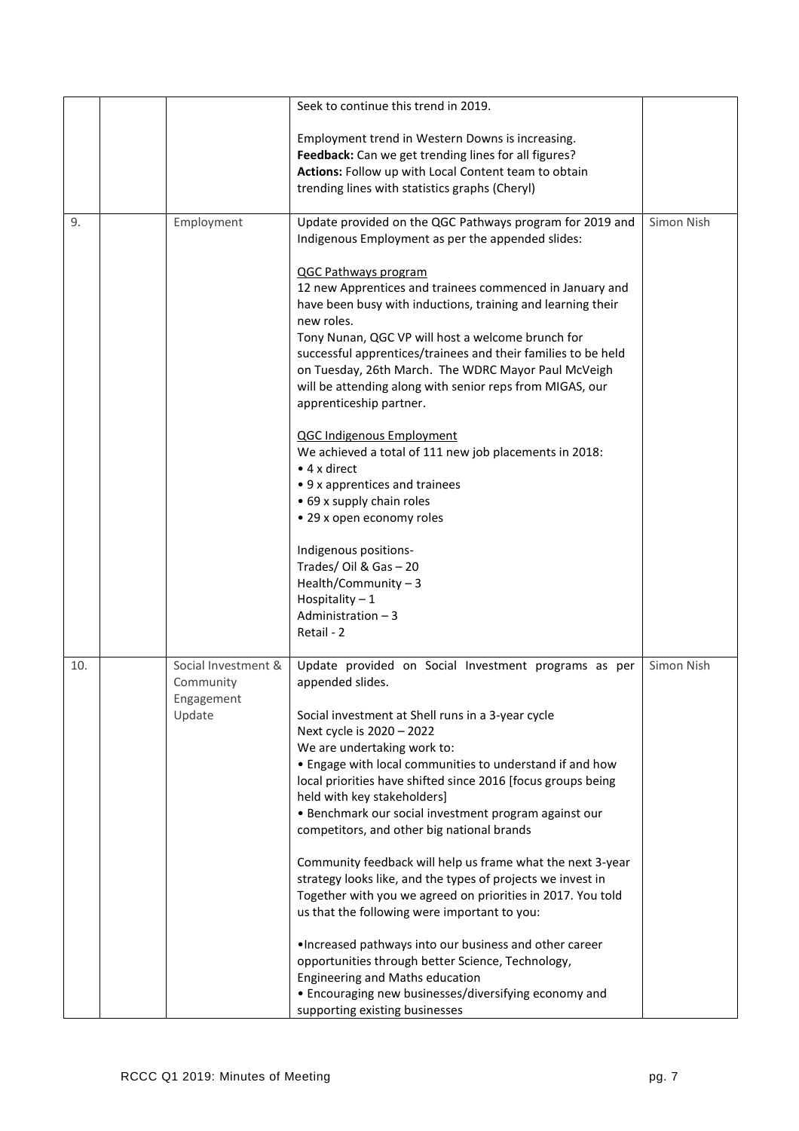|     |                                  | Seek to continue this trend in 2019.                                                                                                                                                                                                                             |            |
|-----|----------------------------------|------------------------------------------------------------------------------------------------------------------------------------------------------------------------------------------------------------------------------------------------------------------|------------|
|     |                                  | Employment trend in Western Downs is increasing.                                                                                                                                                                                                                 |            |
|     |                                  | Feedback: Can we get trending lines for all figures?                                                                                                                                                                                                             |            |
|     |                                  | Actions: Follow up with Local Content team to obtain                                                                                                                                                                                                             |            |
|     |                                  | trending lines with statistics graphs (Cheryl)                                                                                                                                                                                                                   |            |
| 9.  | Employment                       | Update provided on the QGC Pathways program for 2019 and<br>Indigenous Employment as per the appended slides:                                                                                                                                                    | Simon Nish |
|     |                                  | QGC Pathways program<br>12 new Apprentices and trainees commenced in January and<br>have been busy with inductions, training and learning their<br>new roles.                                                                                                    |            |
|     |                                  | Tony Nunan, QGC VP will host a welcome brunch for<br>successful apprentices/trainees and their families to be held<br>on Tuesday, 26th March. The WDRC Mayor Paul McVeigh<br>will be attending along with senior reps from MIGAS, our<br>apprenticeship partner. |            |
|     |                                  | <b>QGC Indigenous Employment</b><br>We achieved a total of 111 new job placements in 2018:<br>$\bullet$ 4 x direct                                                                                                                                               |            |
|     |                                  | • 9 x apprentices and trainees                                                                                                                                                                                                                                   |            |
|     |                                  | • 69 x supply chain roles                                                                                                                                                                                                                                        |            |
|     |                                  | • 29 x open economy roles                                                                                                                                                                                                                                        |            |
|     |                                  | Indigenous positions-                                                                                                                                                                                                                                            |            |
|     |                                  | Trades/Oil & Gas-20<br>Health/Community $-3$                                                                                                                                                                                                                     |            |
|     |                                  | Hospitality $-1$                                                                                                                                                                                                                                                 |            |
|     |                                  | Administration - 3                                                                                                                                                                                                                                               |            |
|     |                                  | Retail - 2                                                                                                                                                                                                                                                       |            |
| 10. | Social Investment &<br>Community | Update provided on Social Investment programs as per<br>appended slides.                                                                                                                                                                                         | Simon Nish |
|     | Engagement<br>Update             | Social investment at Shell runs in a 3-year cycle                                                                                                                                                                                                                |            |
|     |                                  | Next cycle is 2020 - 2022                                                                                                                                                                                                                                        |            |
|     |                                  | We are undertaking work to:                                                                                                                                                                                                                                      |            |
|     |                                  | • Engage with local communities to understand if and how<br>local priorities have shifted since 2016 [focus groups being                                                                                                                                         |            |
|     |                                  | held with key stakeholders]                                                                                                                                                                                                                                      |            |
|     |                                  | • Benchmark our social investment program against our                                                                                                                                                                                                            |            |
|     |                                  | competitors, and other big national brands                                                                                                                                                                                                                       |            |
|     |                                  | Community feedback will help us frame what the next 3-year                                                                                                                                                                                                       |            |
|     |                                  | strategy looks like, and the types of projects we invest in                                                                                                                                                                                                      |            |
|     |                                  | Together with you we agreed on priorities in 2017. You told<br>us that the following were important to you:                                                                                                                                                      |            |
|     |                                  | . Increased pathways into our business and other career<br>opportunities through better Science, Technology,<br>Engineering and Maths education                                                                                                                  |            |
|     |                                  | • Encouraging new businesses/diversifying economy and                                                                                                                                                                                                            |            |
|     |                                  | supporting existing businesses                                                                                                                                                                                                                                   |            |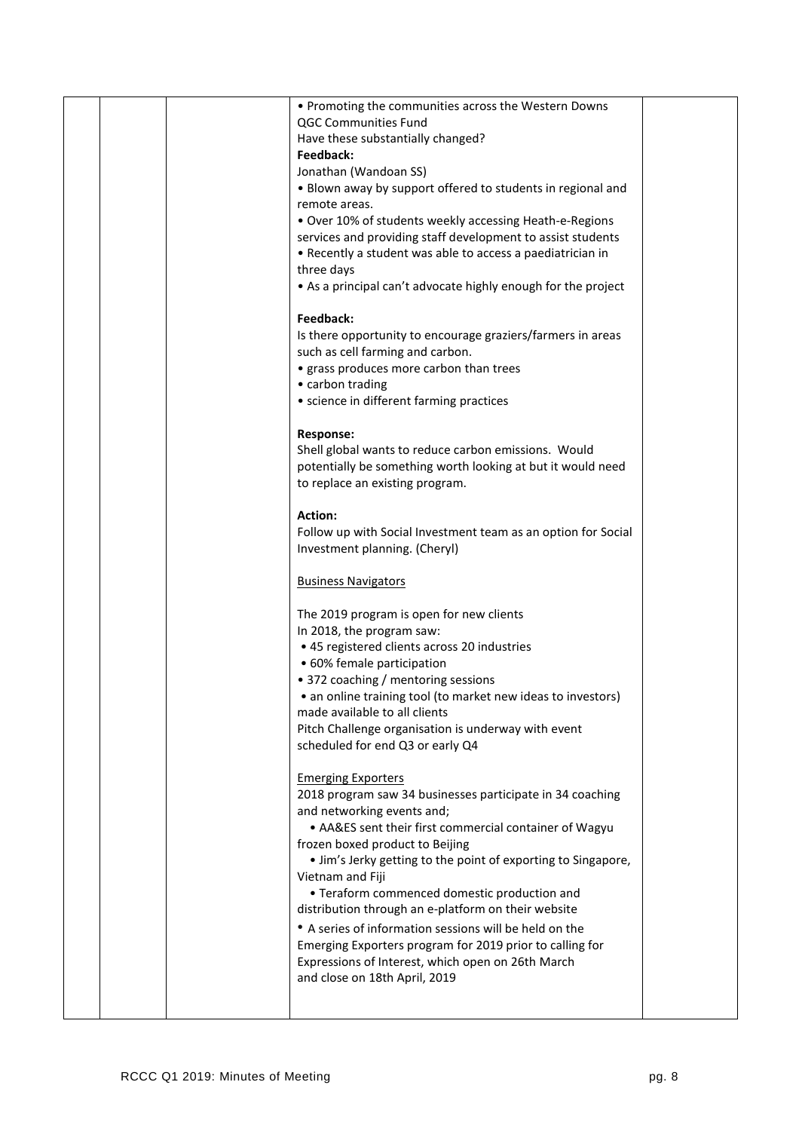|  | • Promoting the communities across the Western Downs                                             |  |
|--|--------------------------------------------------------------------------------------------------|--|
|  | QGC Communities Fund                                                                             |  |
|  | Have these substantially changed?                                                                |  |
|  | Feedback:                                                                                        |  |
|  | Jonathan (Wandoan SS)                                                                            |  |
|  | . Blown away by support offered to students in regional and                                      |  |
|  | remote areas.                                                                                    |  |
|  | . Over 10% of students weekly accessing Heath-e-Regions                                          |  |
|  |                                                                                                  |  |
|  | services and providing staff development to assist students                                      |  |
|  | • Recently a student was able to access a paediatrician in                                       |  |
|  | three days                                                                                       |  |
|  | • As a principal can't advocate highly enough for the project                                    |  |
|  |                                                                                                  |  |
|  | Feedback:                                                                                        |  |
|  | Is there opportunity to encourage graziers/farmers in areas                                      |  |
|  | such as cell farming and carbon.                                                                 |  |
|  | • grass produces more carbon than trees                                                          |  |
|  | • carbon trading                                                                                 |  |
|  | • science in different farming practices                                                         |  |
|  |                                                                                                  |  |
|  | <b>Response:</b>                                                                                 |  |
|  | Shell global wants to reduce carbon emissions. Would                                             |  |
|  | potentially be something worth looking at but it would need                                      |  |
|  | to replace an existing program.                                                                  |  |
|  |                                                                                                  |  |
|  | <b>Action:</b>                                                                                   |  |
|  | Follow up with Social Investment team as an option for Social                                    |  |
|  | Investment planning. (Cheryl)                                                                    |  |
|  |                                                                                                  |  |
|  |                                                                                                  |  |
|  | <b>Business Navigators</b>                                                                       |  |
|  |                                                                                                  |  |
|  | The 2019 program is open for new clients                                                         |  |
|  | In 2018, the program saw:                                                                        |  |
|  | • 45 registered clients across 20 industries                                                     |  |
|  | • 60% female participation                                                                       |  |
|  | • 372 coaching / mentoring sessions                                                              |  |
|  | • an online training tool (to market new ideas to investors)                                     |  |
|  | made available to all clients                                                                    |  |
|  | Pitch Challenge organisation is underway with event                                              |  |
|  | scheduled for end Q3 or early Q4                                                                 |  |
|  |                                                                                                  |  |
|  | <b>Emerging Exporters</b>                                                                        |  |
|  | 2018 program saw 34 businesses participate in 34 coaching                                        |  |
|  | and networking events and;                                                                       |  |
|  | • AA&ES sent their first commercial container of Wagyu                                           |  |
|  |                                                                                                  |  |
|  | frozen boxed product to Beijing<br>• Jim's Jerky getting to the point of exporting to Singapore, |  |
|  |                                                                                                  |  |
|  | Vietnam and Fiji                                                                                 |  |
|  | • Teraform commenced domestic production and                                                     |  |
|  | distribution through an e-platform on their website                                              |  |
|  | • A series of information sessions will be held on the                                           |  |
|  | Emerging Exporters program for 2019 prior to calling for                                         |  |
|  | Expressions of Interest, which open on 26th March                                                |  |
|  | and close on 18th April, 2019                                                                    |  |
|  |                                                                                                  |  |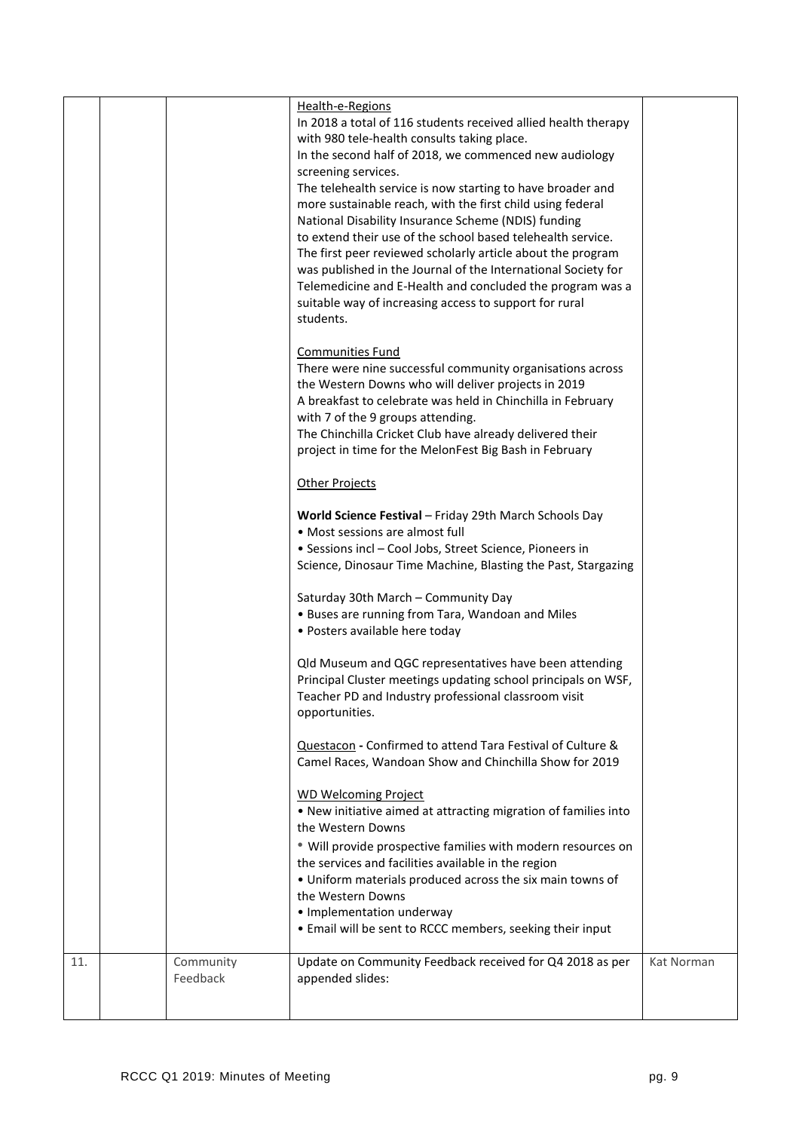|     |           | Health-e-Regions                                                                                                        |            |
|-----|-----------|-------------------------------------------------------------------------------------------------------------------------|------------|
|     |           | In 2018 a total of 116 students received allied health therapy                                                          |            |
|     |           | with 980 tele-health consults taking place.                                                                             |            |
|     |           | In the second half of 2018, we commenced new audiology                                                                  |            |
|     |           | screening services.                                                                                                     |            |
|     |           | The telehealth service is now starting to have broader and                                                              |            |
|     |           | more sustainable reach, with the first child using federal                                                              |            |
|     |           | National Disability Insurance Scheme (NDIS) funding                                                                     |            |
|     |           | to extend their use of the school based telehealth service.                                                             |            |
|     |           | The first peer reviewed scholarly article about the program                                                             |            |
|     |           | was published in the Journal of the International Society for                                                           |            |
|     |           | Telemedicine and E-Health and concluded the program was a                                                               |            |
|     |           | suitable way of increasing access to support for rural<br>students.                                                     |            |
|     |           |                                                                                                                         |            |
|     |           | <b>Communities Fund</b>                                                                                                 |            |
|     |           | There were nine successful community organisations across                                                               |            |
|     |           | the Western Downs who will deliver projects in 2019                                                                     |            |
|     |           | A breakfast to celebrate was held in Chinchilla in February                                                             |            |
|     |           | with 7 of the 9 groups attending.                                                                                       |            |
|     |           | The Chinchilla Cricket Club have already delivered their                                                                |            |
|     |           | project in time for the MelonFest Big Bash in February                                                                  |            |
|     |           |                                                                                                                         |            |
|     |           | <b>Other Projects</b>                                                                                                   |            |
|     |           | World Science Festival - Friday 29th March Schools Day                                                                  |            |
|     |           | • Most sessions are almost full                                                                                         |            |
|     |           | • Sessions incl - Cool Jobs, Street Science, Pioneers in                                                                |            |
|     |           | Science, Dinosaur Time Machine, Blasting the Past, Stargazing                                                           |            |
|     |           |                                                                                                                         |            |
|     |           | Saturday 30th March - Community Day                                                                                     |            |
|     |           | • Buses are running from Tara, Wandoan and Miles                                                                        |            |
|     |           | • Posters available here today                                                                                          |            |
|     |           |                                                                                                                         |            |
|     |           | Qld Museum and QGC representatives have been attending<br>Principal Cluster meetings updating school principals on WSF, |            |
|     |           | Teacher PD and Industry professional classroom visit                                                                    |            |
|     |           | opportunities.                                                                                                          |            |
|     |           |                                                                                                                         |            |
|     |           | Questacon - Confirmed to attend Tara Festival of Culture &                                                              |            |
|     |           | Camel Races, Wandoan Show and Chinchilla Show for 2019                                                                  |            |
|     |           |                                                                                                                         |            |
|     |           | <b>WD Welcoming Project</b>                                                                                             |            |
|     |           | . New initiative aimed at attracting migration of families into                                                         |            |
|     |           | the Western Downs                                                                                                       |            |
|     |           | * Will provide prospective families with modern resources on                                                            |            |
|     |           | the services and facilities available in the region                                                                     |            |
|     |           | • Uniform materials produced across the six main towns of<br>the Western Downs                                          |            |
|     |           | • Implementation underway                                                                                               |            |
|     |           | . Email will be sent to RCCC members, seeking their input                                                               |            |
|     |           |                                                                                                                         |            |
| 11. | Community | Update on Community Feedback received for Q4 2018 as per                                                                | Kat Norman |
|     | Feedback  | appended slides:                                                                                                        |            |
|     |           |                                                                                                                         |            |
|     |           |                                                                                                                         |            |